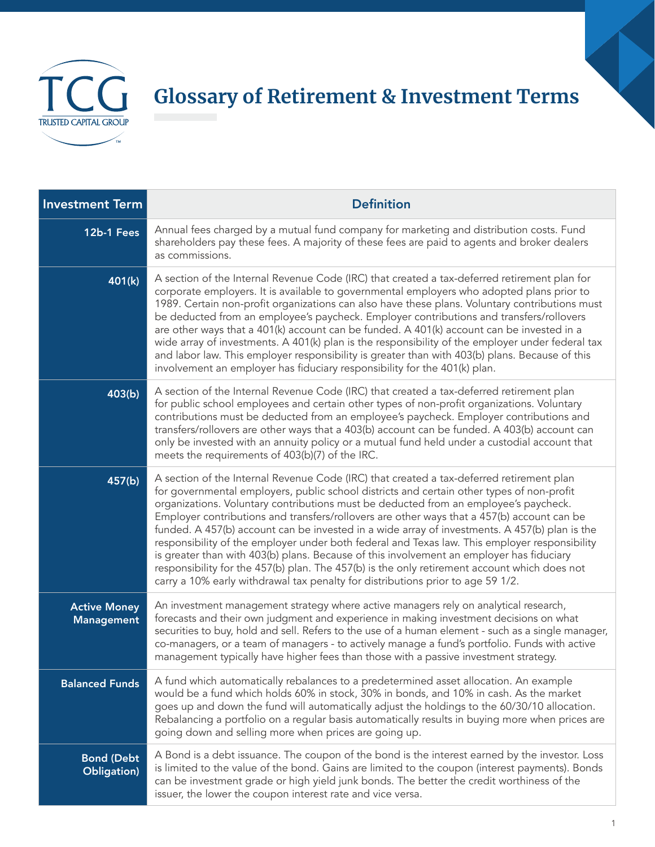

## **Glossary of Retirement & Investment Terms**

| <b>Investment Term</b>                   | <b>Definition</b>                                                                                                                                                                                                                                                                                                                                                                                                                                                                                                                                                                                                                                                                                                                                                                                                                                            |
|------------------------------------------|--------------------------------------------------------------------------------------------------------------------------------------------------------------------------------------------------------------------------------------------------------------------------------------------------------------------------------------------------------------------------------------------------------------------------------------------------------------------------------------------------------------------------------------------------------------------------------------------------------------------------------------------------------------------------------------------------------------------------------------------------------------------------------------------------------------------------------------------------------------|
| 12b-1 Fees                               | Annual fees charged by a mutual fund company for marketing and distribution costs. Fund<br>shareholders pay these fees. A majority of these fees are paid to agents and broker dealers<br>as commissions.                                                                                                                                                                                                                                                                                                                                                                                                                                                                                                                                                                                                                                                    |
| 401(k)                                   | A section of the Internal Revenue Code (IRC) that created a tax-deferred retirement plan for<br>corporate employers. It is available to governmental employers who adopted plans prior to<br>1989. Certain non-profit organizations can also have these plans. Voluntary contributions must<br>be deducted from an employee's paycheck. Employer contributions and transfers/rollovers<br>are other ways that a 401(k) account can be funded. A 401(k) account can be invested in a<br>wide array of investments. A 401(k) plan is the responsibility of the employer under federal tax<br>and labor law. This employer responsibility is greater than with 403(b) plans. Because of this<br>involvement an employer has fiduciary responsibility for the 401(k) plan.                                                                                       |
| 403(b)                                   | A section of the Internal Revenue Code (IRC) that created a tax-deferred retirement plan<br>for public school employees and certain other types of non-profit organizations. Voluntary<br>contributions must be deducted from an employee's paycheck. Employer contributions and<br>transfers/rollovers are other ways that a 403(b) account can be funded. A 403(b) account can<br>only be invested with an annuity policy or a mutual fund held under a custodial account that<br>meets the requirements of 403(b)(7) of the IRC.                                                                                                                                                                                                                                                                                                                          |
| 457(b)                                   | A section of the Internal Revenue Code (IRC) that created a tax-deferred retirement plan<br>for governmental employers, public school districts and certain other types of non-profit<br>organizations. Voluntary contributions must be deducted from an employee's paycheck.<br>Employer contributions and transfers/rollovers are other ways that a 457(b) account can be<br>funded. A 457(b) account can be invested in a wide array of investments. A 457(b) plan is the<br>responsibility of the employer under both federal and Texas law. This employer responsibility<br>is greater than with 403(b) plans. Because of this involvement an employer has fiduciary<br>responsibility for the 457(b) plan. The 457(b) is the only retirement account which does not<br>carry a 10% early withdrawal tax penalty for distributions prior to age 59 1/2. |
| <b>Active Money</b><br><b>Management</b> | An investment management strategy where active managers rely on analytical research,<br>forecasts and their own judgment and experience in making investment decisions on what<br>securities to buy, hold and sell. Refers to the use of a human element - such as a single manager,<br>co-managers, or a team of managers - to actively manage a fund's portfolio. Funds with active<br>management typically have higher fees than those with a passive investment strategy.                                                                                                                                                                                                                                                                                                                                                                                |
| <b>Balanced Funds</b>                    | A fund which automatically rebalances to a predetermined asset allocation. An example<br>would be a fund which holds 60% in stock, 30% in bonds, and 10% in cash. As the market<br>goes up and down the fund will automatically adjust the holdings to the 60/30/10 allocation.<br>Rebalancing a portfolio on a regular basis automatically results in buying more when prices are<br>going down and selling more when prices are going up.                                                                                                                                                                                                                                                                                                                                                                                                                  |
| <b>Bond (Debt</b><br>Obligation)         | A Bond is a debt issuance. The coupon of the bond is the interest earned by the investor. Loss<br>is limited to the value of the bond. Gains are limited to the coupon (interest payments). Bonds<br>can be investment grade or high yield junk bonds. The better the credit worthiness of the<br>issuer, the lower the coupon interest rate and vice versa.                                                                                                                                                                                                                                                                                                                                                                                                                                                                                                 |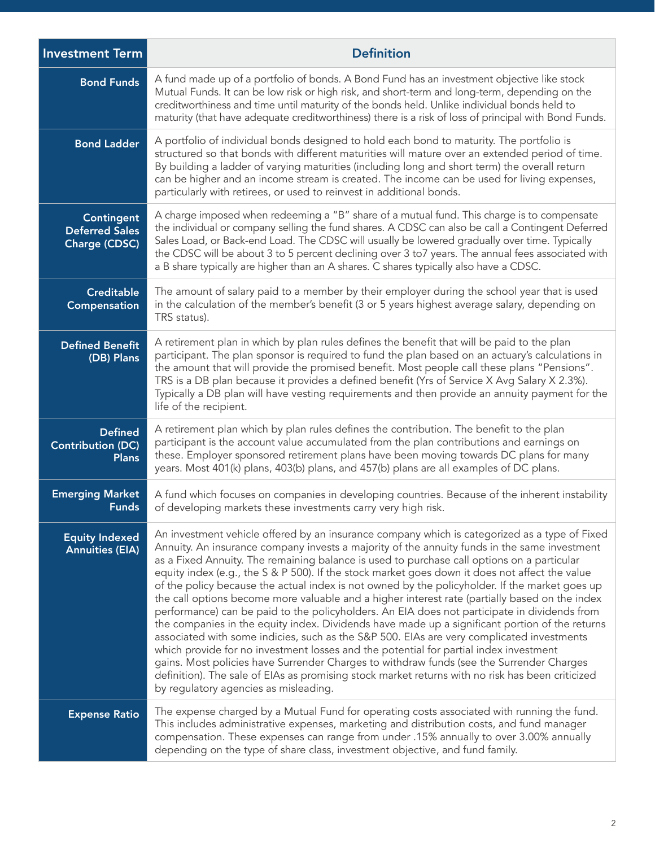| <b>Investment Term</b>                                      | <b>Definition</b>                                                                                                                                                                                                                                                                                                                                                                                                                                                                                                                                                                                                                                                                                                                                                                                                                                                                                                                                                                                                                                                                                                                                                                                                                  |
|-------------------------------------------------------------|------------------------------------------------------------------------------------------------------------------------------------------------------------------------------------------------------------------------------------------------------------------------------------------------------------------------------------------------------------------------------------------------------------------------------------------------------------------------------------------------------------------------------------------------------------------------------------------------------------------------------------------------------------------------------------------------------------------------------------------------------------------------------------------------------------------------------------------------------------------------------------------------------------------------------------------------------------------------------------------------------------------------------------------------------------------------------------------------------------------------------------------------------------------------------------------------------------------------------------|
| <b>Bond Funds</b>                                           | A fund made up of a portfolio of bonds. A Bond Fund has an investment objective like stock<br>Mutual Funds. It can be low risk or high risk, and short-term and long-term, depending on the<br>creditworthiness and time until maturity of the bonds held. Unlike individual bonds held to<br>maturity (that have adequate creditworthiness) there is a risk of loss of principal with Bond Funds.                                                                                                                                                                                                                                                                                                                                                                                                                                                                                                                                                                                                                                                                                                                                                                                                                                 |
| <b>Bond Ladder</b>                                          | A portfolio of individual bonds designed to hold each bond to maturity. The portfolio is<br>structured so that bonds with different maturities will mature over an extended period of time.<br>By building a ladder of varying maturities (including long and short term) the overall return<br>can be higher and an income stream is created. The income can be used for living expenses,<br>particularly with retirees, or used to reinvest in additional bonds.                                                                                                                                                                                                                                                                                                                                                                                                                                                                                                                                                                                                                                                                                                                                                                 |
| <b>Contingent</b><br><b>Deferred Sales</b><br>Charge (CDSC) | A charge imposed when redeeming a "B" share of a mutual fund. This charge is to compensate<br>the individual or company selling the fund shares. A CDSC can also be call a Contingent Deferred<br>Sales Load, or Back-end Load. The CDSC will usually be lowered gradually over time. Typically<br>the CDSC will be about 3 to 5 percent declining over 3 to7 years. The annual fees associated with<br>a B share typically are higher than an A shares. C shares typically also have a CDSC.                                                                                                                                                                                                                                                                                                                                                                                                                                                                                                                                                                                                                                                                                                                                      |
| <b>Creditable</b><br>Compensation                           | The amount of salary paid to a member by their employer during the school year that is used<br>in the calculation of the member's benefit (3 or 5 years highest average salary, depending on<br>TRS status).                                                                                                                                                                                                                                                                                                                                                                                                                                                                                                                                                                                                                                                                                                                                                                                                                                                                                                                                                                                                                       |
| <b>Defined Benefit</b><br>(DB) Plans                        | A retirement plan in which by plan rules defines the benefit that will be paid to the plan<br>participant. The plan sponsor is required to fund the plan based on an actuary's calculations in<br>the amount that will provide the promised benefit. Most people call these plans "Pensions".<br>TRS is a DB plan because it provides a defined benefit (Yrs of Service X Avg Salary X 2.3%).<br>Typically a DB plan will have vesting requirements and then provide an annuity payment for the<br>life of the recipient.                                                                                                                                                                                                                                                                                                                                                                                                                                                                                                                                                                                                                                                                                                          |
| <b>Defined</b><br><b>Contribution (DC)</b><br><b>Plans</b>  | A retirement plan which by plan rules defines the contribution. The benefit to the plan<br>participant is the account value accumulated from the plan contributions and earnings on<br>these. Employer sponsored retirement plans have been moving towards DC plans for many<br>years. Most 401(k) plans, 403(b) plans, and 457(b) plans are all examples of DC plans.                                                                                                                                                                                                                                                                                                                                                                                                                                                                                                                                                                                                                                                                                                                                                                                                                                                             |
| <b>Emerging Market</b><br><b>Funds</b>                      | A fund which focuses on companies in developing countries. Because of the inherent instability<br>of developing markets these investments carry very high risk.                                                                                                                                                                                                                                                                                                                                                                                                                                                                                                                                                                                                                                                                                                                                                                                                                                                                                                                                                                                                                                                                    |
| <b>Equity Indexed</b><br><b>Annuities (EIA)</b>             | An investment vehicle offered by an insurance company which is categorized as a type of Fixed<br>Annuity. An insurance company invests a majority of the annuity funds in the same investment<br>as a Fixed Annuity. The remaining balance is used to purchase call options on a particular<br>equity index (e.g., the S & P 500). If the stock market goes down it does not affect the value<br>of the policy because the actual index is not owned by the policyholder. If the market goes up<br>the call options become more valuable and a higher interest rate (partially based on the index<br>performance) can be paid to the policyholders. An EIA does not participate in dividends from<br>the companies in the equity index. Dividends have made up a significant portion of the returns<br>associated with some indicies, such as the S&P 500. EIAs are very complicated investments<br>which provide for no investment losses and the potential for partial index investment<br>gains. Most policies have Surrender Charges to withdraw funds (see the Surrender Charges<br>definition). The sale of EIAs as promising stock market returns with no risk has been criticized<br>by regulatory agencies as misleading. |
| <b>Expense Ratio</b>                                        | The expense charged by a Mutual Fund for operating costs associated with running the fund.<br>This includes administrative expenses, marketing and distribution costs, and fund manager<br>compensation. These expenses can range from under .15% annually to over 3.00% annually<br>depending on the type of share class, investment objective, and fund family.                                                                                                                                                                                                                                                                                                                                                                                                                                                                                                                                                                                                                                                                                                                                                                                                                                                                  |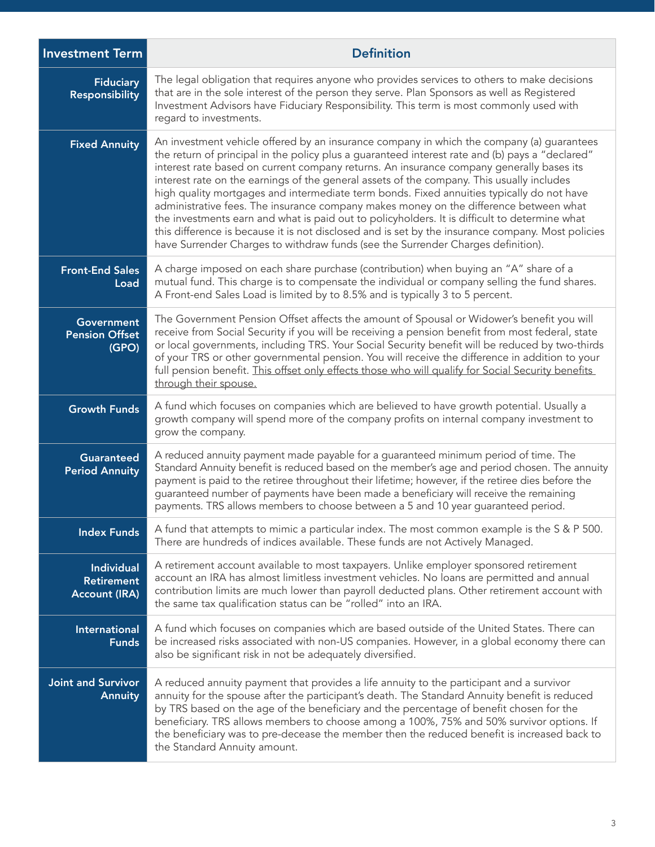| <b>Investment Term</b>                                         | <b>Definition</b>                                                                                                                                                                                                                                                                                                                                                                                                                                                                                                                                                                                                                                                                                                                                                                                                                                                     |
|----------------------------------------------------------------|-----------------------------------------------------------------------------------------------------------------------------------------------------------------------------------------------------------------------------------------------------------------------------------------------------------------------------------------------------------------------------------------------------------------------------------------------------------------------------------------------------------------------------------------------------------------------------------------------------------------------------------------------------------------------------------------------------------------------------------------------------------------------------------------------------------------------------------------------------------------------|
| <b>Fiduciary</b><br><b>Responsibility</b>                      | The legal obligation that requires anyone who provides services to others to make decisions<br>that are in the sole interest of the person they serve. Plan Sponsors as well as Registered<br>Investment Advisors have Fiduciary Responsibility. This term is most commonly used with<br>regard to investments.                                                                                                                                                                                                                                                                                                                                                                                                                                                                                                                                                       |
| <b>Fixed Annuity</b>                                           | An investment vehicle offered by an insurance company in which the company (a) guarantees<br>the return of principal in the policy plus a guaranteed interest rate and (b) pays a "declared"<br>interest rate based on current company returns. An insurance company generally bases its<br>interest rate on the earnings of the general assets of the company. This usually includes<br>high quality mortgages and intermediate term bonds. Fixed annuities typically do not have<br>administrative fees. The insurance company makes money on the difference between what<br>the investments earn and what is paid out to policyholders. It is difficult to determine what<br>this difference is because it is not disclosed and is set by the insurance company. Most policies<br>have Surrender Charges to withdraw funds (see the Surrender Charges definition). |
| <b>Front-End Sales</b><br>Load                                 | A charge imposed on each share purchase (contribution) when buying an "A" share of a<br>mutual fund. This charge is to compensate the individual or company selling the fund shares.<br>A Front-end Sales Load is limited by to 8.5% and is typically 3 to 5 percent.                                                                                                                                                                                                                                                                                                                                                                                                                                                                                                                                                                                                 |
| <b>Government</b><br><b>Pension Offset</b><br>(GPO)            | The Government Pension Offset affects the amount of Spousal or Widower's benefit you will<br>receive from Social Security if you will be receiving a pension benefit from most federal, state<br>or local governments, including TRS. Your Social Security benefit will be reduced by two-thirds<br>of your TRS or other governmental pension. You will receive the difference in addition to your<br>full pension benefit. This offset only effects those who will qualify for Social Security benefits<br>through their spouse.                                                                                                                                                                                                                                                                                                                                     |
| <b>Growth Funds</b>                                            | A fund which focuses on companies which are believed to have growth potential. Usually a<br>growth company will spend more of the company profits on internal company investment to<br>grow the company.                                                                                                                                                                                                                                                                                                                                                                                                                                                                                                                                                                                                                                                              |
| <b>Guaranteed</b><br><b>Period Annuity</b>                     | A reduced annuity payment made payable for a guaranteed minimum period of time. The<br>Standard Annuity benefit is reduced based on the member's age and period chosen. The annuity<br>payment is paid to the retiree throughout their lifetime; however, if the retiree dies before the<br>guaranteed number of payments have been made a beneficiary will receive the remaining<br>payments. TRS allows members to choose between a 5 and 10 year guaranteed period.                                                                                                                                                                                                                                                                                                                                                                                                |
| <b>Index Funds</b>                                             | A fund that attempts to mimic a particular index. The most common example is the S & P 500.<br>There are hundreds of indices available. These funds are not Actively Managed.                                                                                                                                                                                                                                                                                                                                                                                                                                                                                                                                                                                                                                                                                         |
| <b>Individual</b><br><b>Retirement</b><br><b>Account (IRA)</b> | A retirement account available to most taxpayers. Unlike employer sponsored retirement<br>account an IRA has almost limitless investment vehicles. No loans are permitted and annual<br>contribution limits are much lower than payroll deducted plans. Other retirement account with<br>the same tax qualification status can be "rolled" into an IRA.                                                                                                                                                                                                                                                                                                                                                                                                                                                                                                               |
| <b>International</b><br><b>Funds</b>                           | A fund which focuses on companies which are based outside of the United States. There can<br>be increased risks associated with non-US companies. However, in a global economy there can<br>also be significant risk in not be adequately diversified.                                                                                                                                                                                                                                                                                                                                                                                                                                                                                                                                                                                                                |
| <b>Joint and Survivor</b><br><b>Annuity</b>                    | A reduced annuity payment that provides a life annuity to the participant and a survivor<br>annuity for the spouse after the participant's death. The Standard Annuity benefit is reduced<br>by TRS based on the age of the beneficiary and the percentage of benefit chosen for the<br>beneficiary. TRS allows members to choose among a 100%, 75% and 50% survivor options. If<br>the beneficiary was to pre-decease the member then the reduced benefit is increased back to<br>the Standard Annuity amount.                                                                                                                                                                                                                                                                                                                                                       |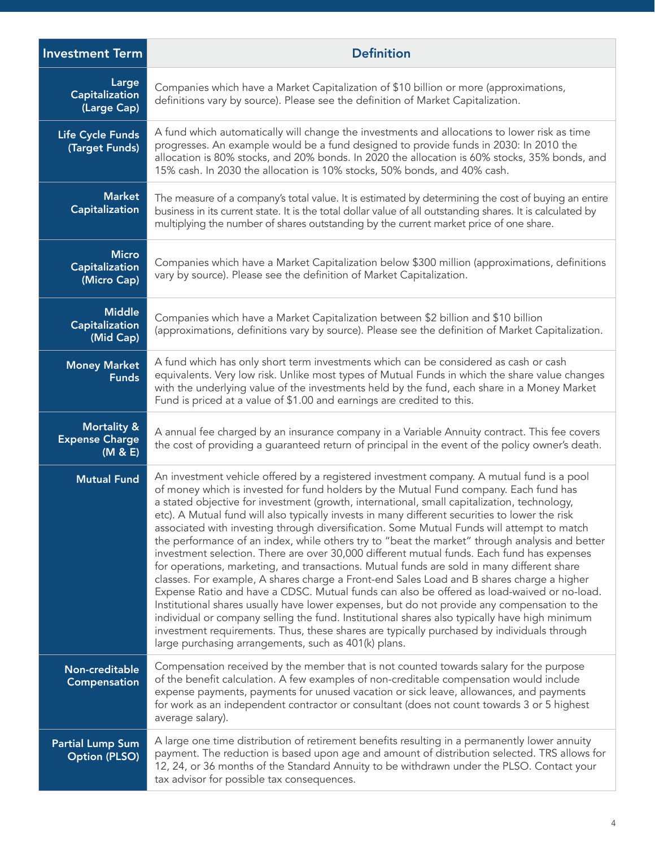| <b>Investment Term</b>                                     | <b>Definition</b>                                                                                                                                                                                                                                                                                                                                                                                                                                                                                                                                                                                                                                                                                                                                                                                                                                                                                                                                                                                                                                                                                                                                                                                                                                                                                                                 |
|------------------------------------------------------------|-----------------------------------------------------------------------------------------------------------------------------------------------------------------------------------------------------------------------------------------------------------------------------------------------------------------------------------------------------------------------------------------------------------------------------------------------------------------------------------------------------------------------------------------------------------------------------------------------------------------------------------------------------------------------------------------------------------------------------------------------------------------------------------------------------------------------------------------------------------------------------------------------------------------------------------------------------------------------------------------------------------------------------------------------------------------------------------------------------------------------------------------------------------------------------------------------------------------------------------------------------------------------------------------------------------------------------------|
| Large<br>Capitalization<br>(Large Cap)                     | Companies which have a Market Capitalization of \$10 billion or more (approximations,<br>definitions vary by source). Please see the definition of Market Capitalization.                                                                                                                                                                                                                                                                                                                                                                                                                                                                                                                                                                                                                                                                                                                                                                                                                                                                                                                                                                                                                                                                                                                                                         |
| Life Cycle Funds<br>(Target Funds)                         | A fund which automatically will change the investments and allocations to lower risk as time<br>progresses. An example would be a fund designed to provide funds in 2030: In 2010 the<br>allocation is 80% stocks, and 20% bonds. In 2020 the allocation is 60% stocks, 35% bonds, and<br>15% cash. In 2030 the allocation is 10% stocks, 50% bonds, and 40% cash.                                                                                                                                                                                                                                                                                                                                                                                                                                                                                                                                                                                                                                                                                                                                                                                                                                                                                                                                                                |
| <b>Market</b><br><b>Capitalization</b>                     | The measure of a company's total value. It is estimated by determining the cost of buying an entire<br>business in its current state. It is the total dollar value of all outstanding shares. It is calculated by<br>multiplying the number of shares outstanding by the current market price of one share.                                                                                                                                                                                                                                                                                                                                                                                                                                                                                                                                                                                                                                                                                                                                                                                                                                                                                                                                                                                                                       |
| <b>Micro</b><br><b>Capitalization</b><br>(Micro Cap)       | Companies which have a Market Capitalization below \$300 million (approximations, definitions<br>vary by source). Please see the definition of Market Capitalization.                                                                                                                                                                                                                                                                                                                                                                                                                                                                                                                                                                                                                                                                                                                                                                                                                                                                                                                                                                                                                                                                                                                                                             |
| <b>Middle</b><br><b>Capitalization</b><br>(Mid Cap)        | Companies which have a Market Capitalization between \$2 billion and \$10 billion<br>(approximations, definitions vary by source). Please see the definition of Market Capitalization.                                                                                                                                                                                                                                                                                                                                                                                                                                                                                                                                                                                                                                                                                                                                                                                                                                                                                                                                                                                                                                                                                                                                            |
| <b>Money Market</b><br><b>Funds</b>                        | A fund which has only short term investments which can be considered as cash or cash<br>equivalents. Very low risk. Unlike most types of Mutual Funds in which the share value changes<br>with the underlying value of the investments held by the fund, each share in a Money Market<br>Fund is priced at a value of \$1.00 and earnings are credited to this.                                                                                                                                                                                                                                                                                                                                                                                                                                                                                                                                                                                                                                                                                                                                                                                                                                                                                                                                                                   |
| <b>Mortality &amp;</b><br><b>Expense Charge</b><br>(M & E) | A annual fee charged by an insurance company in a Variable Annuity contract. This fee covers<br>the cost of providing a guaranteed return of principal in the event of the policy owner's death.                                                                                                                                                                                                                                                                                                                                                                                                                                                                                                                                                                                                                                                                                                                                                                                                                                                                                                                                                                                                                                                                                                                                  |
| <b>Mutual Fund</b>                                         | An investment vehicle offered by a registered investment company. A mutual fund is a pool<br>of money which is invested for fund holders by the Mutual Fund company. Each fund has<br>a stated objective for investment (growth, international, small capitalization, technology,<br>etc). A Mutual fund will also typically invests in many different securities to lower the risk<br>associated with investing through diversification. Some Mutual Funds will attempt to match<br>the performance of an index, while others try to "beat the market" through analysis and better<br>investment selection. There are over 30,000 different mutual funds. Each fund has expenses<br>for operations, marketing, and transactions. Mutual funds are sold in many different share<br>classes. For example, A shares charge a Front-end Sales Load and B shares charge a higher<br>Expense Ratio and have a CDSC. Mutual funds can also be offered as load-waived or no-load.<br>Institutional shares usually have lower expenses, but do not provide any compensation to the<br>individual or company selling the fund. Institutional shares also typically have high minimum<br>investment requirements. Thus, these shares are typically purchased by individuals through<br>large purchasing arrangements, such as 401(k) plans. |
| Non-creditable<br>Compensation                             | Compensation received by the member that is not counted towards salary for the purpose<br>of the benefit calculation. A few examples of non-creditable compensation would include<br>expense payments, payments for unused vacation or sick leave, allowances, and payments<br>for work as an independent contractor or consultant (does not count towards 3 or 5 highest<br>average salary).                                                                                                                                                                                                                                                                                                                                                                                                                                                                                                                                                                                                                                                                                                                                                                                                                                                                                                                                     |
| <b>Partial Lump Sum</b><br><b>Option (PLSO)</b>            | A large one time distribution of retirement benefits resulting in a permanently lower annuity<br>payment. The reduction is based upon age and amount of distribution selected. TRS allows for<br>12, 24, or 36 months of the Standard Annuity to be withdrawn under the PLSO. Contact your<br>tax advisor for possible tax consequences.                                                                                                                                                                                                                                                                                                                                                                                                                                                                                                                                                                                                                                                                                                                                                                                                                                                                                                                                                                                          |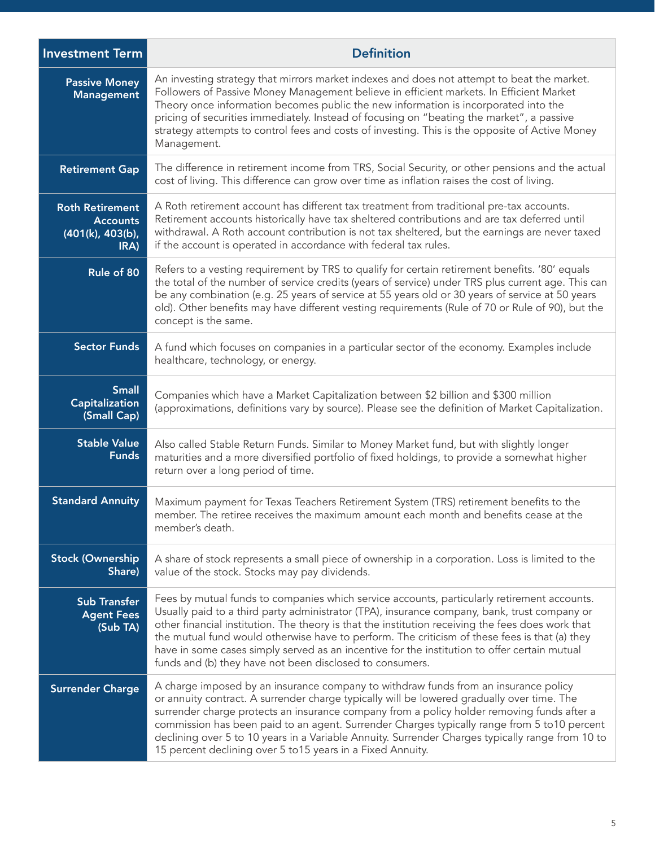| <b>Investment Term</b>                                                | <b>Definition</b>                                                                                                                                                                                                                                                                                                                                                                                                                                                                                                                                             |
|-----------------------------------------------------------------------|---------------------------------------------------------------------------------------------------------------------------------------------------------------------------------------------------------------------------------------------------------------------------------------------------------------------------------------------------------------------------------------------------------------------------------------------------------------------------------------------------------------------------------------------------------------|
| <b>Passive Money</b><br><b>Management</b>                             | An investing strategy that mirrors market indexes and does not attempt to beat the market.<br>Followers of Passive Money Management believe in efficient markets. In Efficient Market<br>Theory once information becomes public the new information is incorporated into the<br>pricing of securities immediately. Instead of focusing on "beating the market", a passive<br>strategy attempts to control fees and costs of investing. This is the opposite of Active Money<br>Management.                                                                    |
| <b>Retirement Gap</b>                                                 | The difference in retirement income from TRS, Social Security, or other pensions and the actual<br>cost of living. This difference can grow over time as inflation raises the cost of living.                                                                                                                                                                                                                                                                                                                                                                 |
| <b>Roth Retirement</b><br><b>Accounts</b><br>(401(k), 403(b),<br>IRA) | A Roth retirement account has different tax treatment from traditional pre-tax accounts.<br>Retirement accounts historically have tax sheltered contributions and are tax deferred until<br>withdrawal. A Roth account contribution is not tax sheltered, but the earnings are never taxed<br>if the account is operated in accordance with federal tax rules.                                                                                                                                                                                                |
| Rule of 80                                                            | Refers to a vesting requirement by TRS to qualify for certain retirement benefits. '80' equals<br>the total of the number of service credits (years of service) under TRS plus current age. This can<br>be any combination (e.g. 25 years of service at 55 years old or 30 years of service at 50 years<br>old). Other benefits may have different vesting requirements (Rule of 70 or Rule of 90), but the<br>concept is the same.                                                                                                                           |
| <b>Sector Funds</b>                                                   | A fund which focuses on companies in a particular sector of the economy. Examples include<br>healthcare, technology, or energy.                                                                                                                                                                                                                                                                                                                                                                                                                               |
| <b>Small</b><br>Capitalization<br>(Small Cap)                         | Companies which have a Market Capitalization between \$2 billion and \$300 million<br>(approximations, definitions vary by source). Please see the definition of Market Capitalization.                                                                                                                                                                                                                                                                                                                                                                       |
| <b>Stable Value</b><br><b>Funds</b>                                   | Also called Stable Return Funds. Similar to Money Market fund, but with slightly longer<br>maturities and a more diversified portfolio of fixed holdings, to provide a somewhat higher<br>return over a long period of time.                                                                                                                                                                                                                                                                                                                                  |
| <b>Standard Annuity</b>                                               | Maximum payment for Texas Teachers Retirement System (TRS) retirement benefits to the<br>member. The retiree receives the maximum amount each month and benefits cease at the<br>member's death.                                                                                                                                                                                                                                                                                                                                                              |
| <b>Stock (Ownership</b><br>Share)                                     | A share of stock represents a small piece of ownership in a corporation. Loss is limited to the<br>value of the stock. Stocks may pay dividends.                                                                                                                                                                                                                                                                                                                                                                                                              |
| <b>Sub Transfer</b><br><b>Agent Fees</b><br>(Sub TA)                  | Fees by mutual funds to companies which service accounts, particularly retirement accounts.<br>Usually paid to a third party administrator (TPA), insurance company, bank, trust company or<br>other financial institution. The theory is that the institution receiving the fees does work that<br>the mutual fund would otherwise have to perform. The criticism of these fees is that (a) they<br>have in some cases simply served as an incentive for the institution to offer certain mutual<br>funds and (b) they have not been disclosed to consumers. |
| <b>Surrender Charge</b>                                               | A charge imposed by an insurance company to withdraw funds from an insurance policy<br>or annuity contract. A surrender charge typically will be lowered gradually over time. The<br>surrender charge protects an insurance company from a policy holder removing funds after a<br>commission has been paid to an agent. Surrender Charges typically range from 5 to 10 percent<br>declining over 5 to 10 years in a Variable Annuity. Surrender Charges typically range from 10 to<br>15 percent declining over 5 to 15 years in a Fixed Annuity.            |